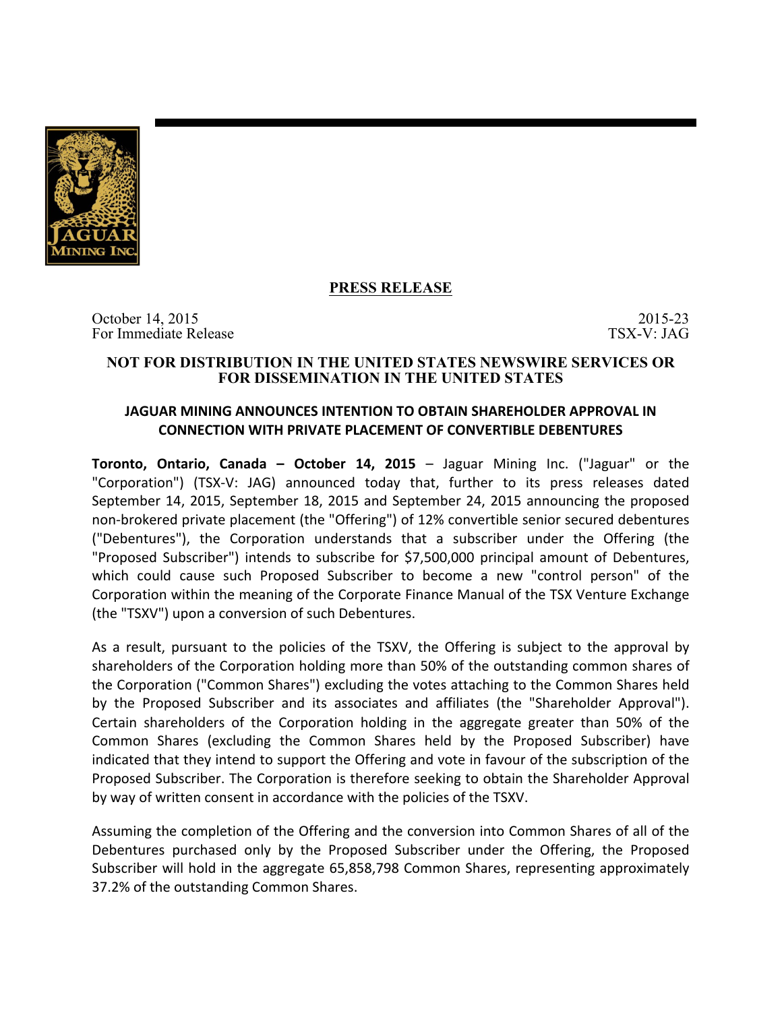

# **PRESS RELEASE**

October 14, 2015 2015-23 For Immediate Release TSX-V: JAG

#### **NOT FOR DISTRIBUTION IN THE UNITED STATES NEWSWIRE SERVICES OR FOR DISSEMINATION IN THE UNITED STATES**

## **JAGUAR MINING ANNOUNCES INTENTION TO OBTAIN SHAREHOLDER APPROVAL IN CONNECTION WITH PRIVATE PLACEMENT OF CONVERTIBLE DEBENTURES**

**Toronto, Ontario, Canada – October 14, 2015** – Jaguar Mining Inc. ("Jaguar" or the "Corporation") (TSX-V: JAG) announced today that, further to its press releases dated September 14, 2015, September 18, 2015 and September 24, 2015 announcing the proposed non-brokered private placement (the "Offering") of 12% convertible senior secured debentures ("Debentures"), the Corporation understands that a subscriber under the Offering (the "Proposed Subscriber") intends to subscribe for \$7,500,000 principal amount of Debentures, which could cause such Proposed Subscriber to become a new "control person" of the Corporation within the meaning of the Corporate Finance Manual of the TSX Venture Exchange (the "TSXV") upon a conversion of such Debentures.

As a result, pursuant to the policies of the TSXV, the Offering is subject to the approval by shareholders of the Corporation holding more than 50% of the outstanding common shares of the Corporation ("Common Shares") excluding the votes attaching to the Common Shares held by the Proposed Subscriber and its associates and affiliates (the "Shareholder Approval"). Certain shareholders of the Corporation holding in the aggregate greater than 50% of the Common Shares (excluding the Common Shares held by the Proposed Subscriber) have indicated that they intend to support the Offering and vote in favour of the subscription of the Proposed Subscriber. The Corporation is therefore seeking to obtain the Shareholder Approval by way of written consent in accordance with the policies of the TSXV.

Assuming the completion of the Offering and the conversion into Common Shares of all of the Debentures purchased only by the Proposed Subscriber under the Offering, the Proposed Subscriber will hold in the aggregate 65,858,798 Common Shares, representing approximately 37.2% of the outstanding Common Shares.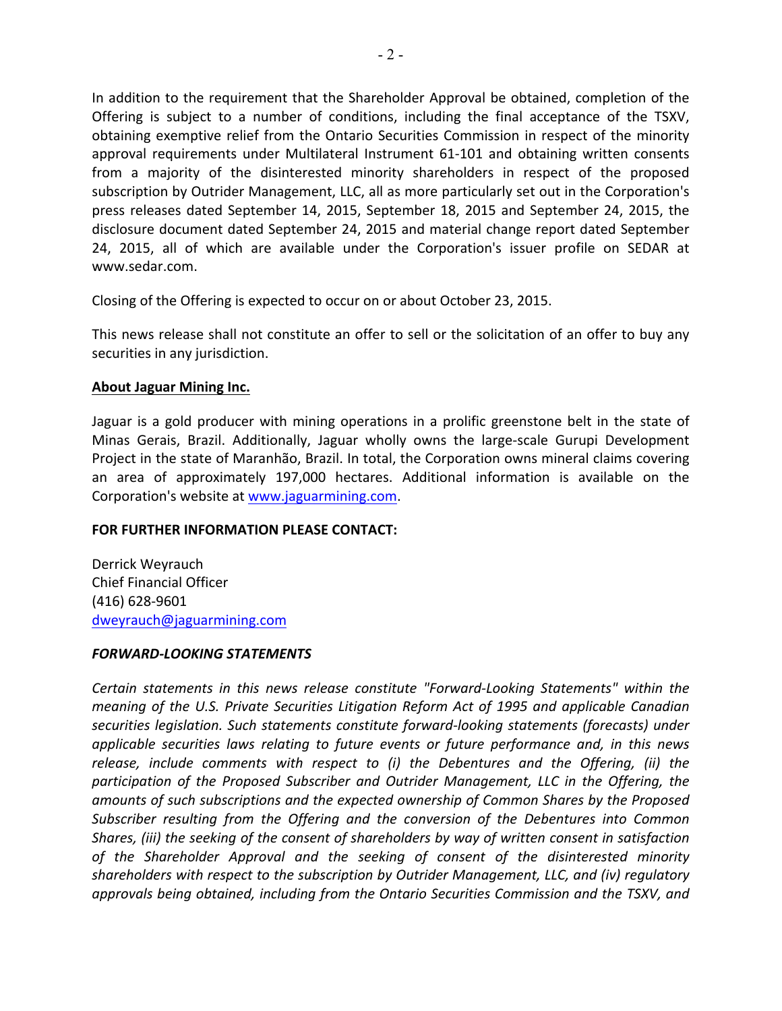In addition to the requirement that the Shareholder Approval be obtained, completion of the Offering is subject to a number of conditions, including the final acceptance of the TSXV, obtaining exemptive relief from the Ontario Securities Commission in respect of the minority approval requirements under Multilateral Instrument 61-101 and obtaining written consents from a majority of the disinterested minority shareholders in respect of the proposed subscription by Outrider Management, LLC, all as more particularly set out in the Corporation's press releases dated September 14, 2015, September 18, 2015 and September 24, 2015, the disclosure document dated September 24, 2015 and material change report dated September 24, 2015, all of which are available under the Corporation's issuer profile on SEDAR at www.sedar.com.

Closing of the Offering is expected to occur on or about October 23, 2015.

This news release shall not constitute an offer to sell or the solicitation of an offer to buy any securities in any jurisdiction.

### **About Jaguar Mining Inc.**

Jaguar is a gold producer with mining operations in a prolific greenstone belt in the state of Minas Gerais, Brazil. Additionally, Jaguar wholly owns the large-scale Gurupi Development Project in the state of Maranhão, Brazil. In total, the Corporation owns mineral claims covering an area of approximately 197,000 hectares. Additional information is available on the Corporation's website at www.jaguarmining.com.

### **FOR FURTHER INFORMATION PLEASE CONTACT:**

Derrick Weyrauch Chief Financial Officer (416) 628-9601 dweyrauch@jaguarmining.com

#### *FORWARD-LOOKING STATEMENTS*

Certain statements in this news release constitute "Forward-Looking Statements" within the *meaning* of the U.S. Private Securities Litigation Reform Act of 1995 and applicable Canadian securities legislation. Such statements constitute forward-looking statements (forecasts) under applicable securities laws relating to future events or future performance and, in this news release, include comments with respect to (i) the Debentures and the Offering, (ii) the participation of the Proposed Subscriber and Outrider Management, LLC in the Offering, the amounts of such subscriptions and the expected ownership of Common Shares by the Proposed *Subscriber resulting from the Offering and the conversion of the Debentures into Common* Shares, (iii) the seeking of the consent of shareholders by way of written consent in satisfaction of the Shareholder Approval and the seeking of consent of the disinterested minority *shareholders with respect to the subscription by Outrider Management, LLC, and (iv) regulatory approvals being obtained, including from the Ontario Securities Commission and the TSXV, and*